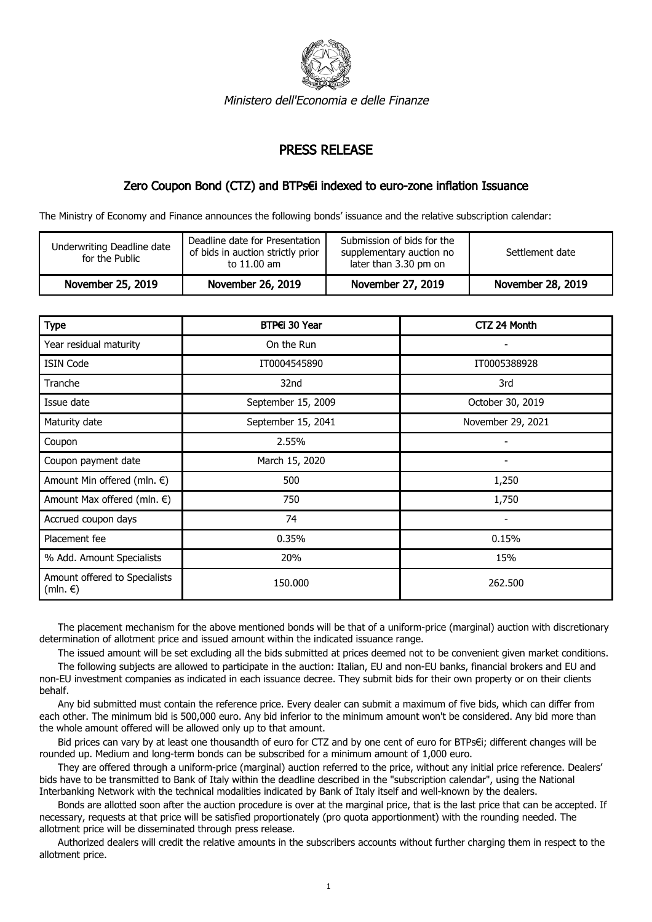

Ministero dell'Economia e delle Finanze

## PRESS RELEASE

## Zero Coupon Bond (CTZ) and BTPs€i indexed to euro-zone inflation Issuance

The Ministry of Economy and Finance announces the following bonds' issuance and the relative subscription calendar:

| Underwriting Deadline date<br>for the Public | Deadline date for Presentation 1<br>of bids in auction strictly prior<br>to 11.00 am | Submission of bids for the<br>supplementary auction no<br>later than 3.30 pm on | Settlement date   |
|----------------------------------------------|--------------------------------------------------------------------------------------|---------------------------------------------------------------------------------|-------------------|
| November 25, 2019                            | November 26, 2019                                                                    | November 27, 2019                                                               | November 28, 2019 |

| <b>Type</b>                               | BTP€i 30 Year      | CTZ 24 Month             |
|-------------------------------------------|--------------------|--------------------------|
| Year residual maturity                    | On the Run         |                          |
| <b>ISIN Code</b>                          | IT0004545890       | IT0005388928             |
| Tranche                                   | 32nd               | 3rd                      |
| Issue date                                | September 15, 2009 | October 30, 2019         |
| Maturity date                             | September 15, 2041 | November 29, 2021        |
| Coupon                                    | 2.55%              |                          |
| Coupon payment date                       | March 15, 2020     | $\overline{\phantom{a}}$ |
| Amount Min offered (mln. €)               | 500                | 1,250                    |
| Amount Max offered (mln. €)               | 750                | 1,750                    |
| Accrued coupon days                       | 74                 |                          |
| Placement fee                             | 0.35%              | 0.15%                    |
| % Add. Amount Specialists                 | 20%                | 15%                      |
| Amount offered to Specialists<br>(mln. €) | 150,000            | 262.500                  |

 The placement mechanism for the above mentioned bonds will be that of a uniform-price (marginal) auction with discretionary determination of allotment price and issued amount within the indicated issuance range.

The issued amount will be set excluding all the bids submitted at prices deemed not to be convenient given market conditions.

 The following subjects are allowed to participate in the auction: Italian, EU and non-EU banks, financial brokers and EU and non-EU investment companies as indicated in each issuance decree. They submit bids for their own property or on their clients behalf.

 Any bid submitted must contain the reference price. Every dealer can submit a maximum of five bids, which can differ from each other. The minimum bid is 500,000 euro. Any bid inferior to the minimum amount won't be considered. Any bid more than the whole amount offered will be allowed only up to that amount.

 Bid prices can vary by at least one thousandth of euro for CTZ and by one cent of euro for BTPs€i; different changes will be rounded up. Medium and long-term bonds can be subscribed for a minimum amount of 1,000 euro.

 They are offered through a uniform-price (marginal) auction referred to the price, without any initial price reference. Dealers' bids have to be transmitted to Bank of Italy within the deadline described in the "subscription calendar", using the National Interbanking Network with the technical modalities indicated by Bank of Italy itself and well-known by the dealers.

 Bonds are allotted soon after the auction procedure is over at the marginal price, that is the last price that can be accepted. If necessary, requests at that price will be satisfied proportionately (pro quota apportionment) with the rounding needed. The allotment price will be disseminated through press release.

 Authorized dealers will credit the relative amounts in the subscribers accounts without further charging them in respect to the allotment price.